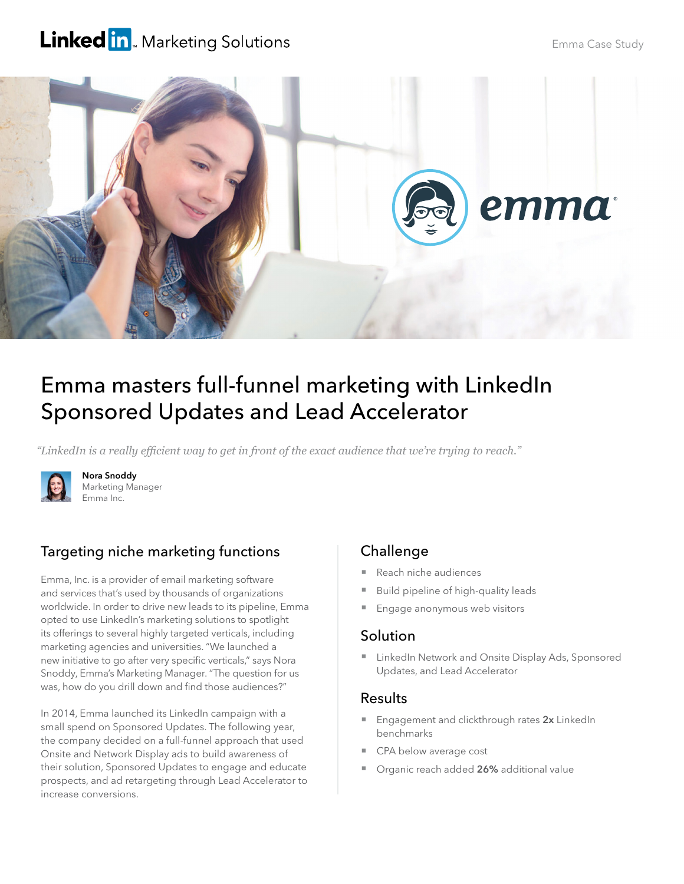## **Linked in** Marketing Solutions



# Emma masters full-funnel marketing with LinkedIn Sponsored Updates and Lead Accelerator

*"LinkedIn is a really efficient way to get in front of the exact audience that we're trying to reach."*



Nora Snoddy Marketing Manager Emma Inc.

## Targeting niche marketing functions

Emma, Inc. is a provider of email marketing software and services that's used by thousands of organizations worldwide. In order to drive new leads to its pipeline, Emma opted to use LinkedIn's marketing solutions to spotlight its offerings to several highly targeted verticals, including marketing agencies and universities. "We launched a new initiative to go after very specific verticals," says Nora Snoddy, Emma's Marketing Manager. "The question for us was, how do you drill down and find those audiences?"

In 2014, Emma launched its LinkedIn campaign with a small spend on Sponsored Updates. The following year, the company decided on a full-funnel approach that used Onsite and Network Display ads to build awareness of their solution, Sponsored Updates to engage and educate prospects, and ad retargeting through Lead Accelerator to increase conversions.

## **Challenge**

- Reach niche audiences
- Build pipeline of high-quality leads
- Engage anonymous web visitors

#### **Solution**

**E** LinkedIn Network and Onsite Display Ads, Sponsored Updates, and Lead Accelerator

#### Results

- Engagement and clickthrough rates 2x LinkedIn benchmarks
- CPA below average cost
- Organic reach added 26% additional value